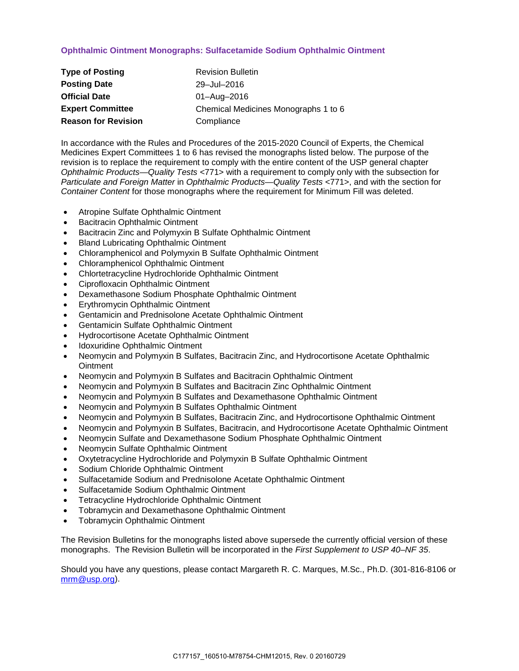## **Ophthalmic Ointment Monographs: Sulfacetamide Sodium Ophthalmic Ointment**

| <b>Type of Posting</b>     | <b>Revision Bulletin</b>             |
|----------------------------|--------------------------------------|
| <b>Posting Date</b>        | 29-Jul-2016                          |
| <b>Official Date</b>       | 01-Aug-2016                          |
| <b>Expert Committee</b>    | Chemical Medicines Monographs 1 to 6 |
| <b>Reason for Revision</b> | Compliance                           |

In accordance with the Rules and Procedures of the 2015-2020 Council of Experts, the Chemical Medicines Expert Committees 1 to 6 has revised the monographs listed below. The purpose of the revision is to replace the requirement to comply with the entire content of the USP general chapter *Ophthalmic Products—Quality Tests* <771> with a requirement to comply only with the subsection for *Particulate and Foreign Matter* in *Ophthalmic Products—Quality Tests* <771>, and with the section for *Container Content* for those monographs where the requirement for Minimum Fill was deleted.

- Atropine Sulfate Ophthalmic Ointment
- Bacitracin Ophthalmic Ointment
- Bacitracin Zinc and Polymyxin B Sulfate Ophthalmic Ointment
- Bland Lubricating Ophthalmic Ointment
- Chloramphenicol and Polymyxin B Sulfate Ophthalmic Ointment
- Chloramphenicol Ophthalmic Ointment
- Chlortetracycline Hydrochloride Ophthalmic Ointment
- Ciprofloxacin Ophthalmic Ointment
- Dexamethasone Sodium Phosphate Ophthalmic Ointment
- Erythromycin Ophthalmic Ointment
- Gentamicin and Prednisolone Acetate Ophthalmic Ointment
- Gentamicin Sulfate Ophthalmic Ointment
- Hydrocortisone Acetate Ophthalmic Ointment
- Idoxuridine Ophthalmic Ointment
- Neomycin and Polymyxin B Sulfates, Bacitracin Zinc, and Hydrocortisone Acetate Ophthalmic **Ointment**
- Neomycin and Polymyxin B Sulfates and Bacitracin Ophthalmic Ointment
- Neomycin and Polymyxin B Sulfates and Bacitracin Zinc Ophthalmic Ointment
- Neomycin and Polymyxin B Sulfates and Dexamethasone Ophthalmic Ointment
- Neomycin and Polymyxin B Sulfates Ophthalmic Ointment
- Neomycin and Polymyxin B Sulfates, Bacitracin Zinc, and Hydrocortisone Ophthalmic Ointment
- Neomycin and Polymyxin B Sulfates, Bacitracin, and Hydrocortisone Acetate Ophthalmic Ointment
- Neomycin Sulfate and Dexamethasone Sodium Phosphate Ophthalmic Ointment
- Neomycin Sulfate Ophthalmic Ointment
- Oxytetracycline Hydrochloride and Polymyxin B Sulfate Ophthalmic Ointment
- Sodium Chloride Ophthalmic Ointment
- Sulfacetamide Sodium and Prednisolone Acetate Ophthalmic Ointment
- Sulfacetamide Sodium Ophthalmic Ointment
- Tetracycline Hydrochloride Ophthalmic Ointment
- Tobramycin and Dexamethasone Ophthalmic Ointment
- Tobramycin Ophthalmic Ointment

The Revision Bulletins for the monographs listed above supersede the currently official version of these monographs. The Revision Bulletin will be incorporated in the *First Supplement to USP 40–NF 35*.

Should you have any questions, please contact Margareth R. C. Marques, M.Sc., Ph.D. (301-816-8106 or [mrm@usp.org\)](mailto:mrm@usp.org).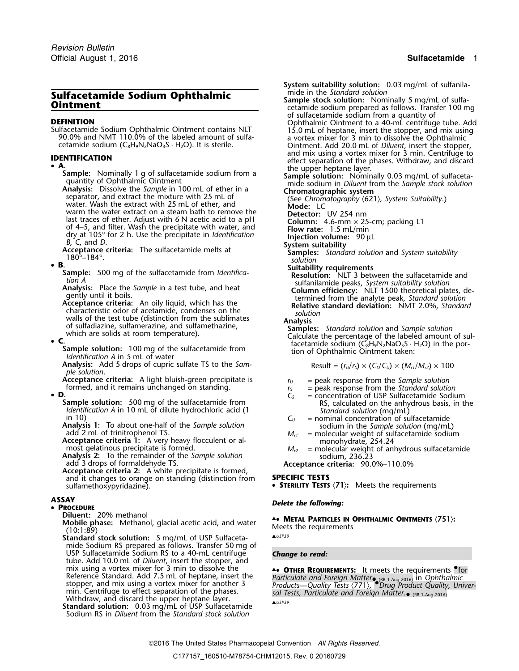• **A.**<br>
Sample: Nominally 1 g of sulfacetamide sodium from a<br>
quantity of Ophthalmic Ointment<br>
quantity of Ophthalmic Ointment<br>
analysis: Dissolve the Sample in 100 mL of ether in a<br>
sample solution: Nominally 0.03 mg/mL

- 
- •

**Analysis:** Add 5 drops of cupric sulfate TS to the *Sam-* Result =  $(r_U/r_S) \times (C_S/C_U) \times (M_{r1}/M_{r2}) \times 100$ 

*ple solution*.<br>**Acceptance criteria:** A light bluish-green precipitate is **Acceptance criteria:** A light bluish-green precipitate is  $r_U =$  peak response from the Sample solution formed, and it remains unchanged on standing.<br>  $r_S =$  peak response from the Standard solution<br>  $C_S =$  concentration of

•

**Sample solution:** 500 mg of the sulfacetamide from  $\begin{array}{r} \text{Example 10} \\ \text{10} \\ \text{11} \\ \text{12} \\ \text{13} \\ \text{14} \\ \text{15} \\ \text{16} \\ \text{17} \\ \text{18} \\ \text{19} \\ \text{10} \\ \text{11} \\ \text{13} \\ \text{14} \\ \text{15} \\ \text{16} \\ \text{17} \\ \text{18} \\ \text{19} \\ \text{10} \\ \text{10} \\ \text{11$ 

**Acceptance criteria 2:** A white precipitate is formed, and it changes to orange on standing (distinction from **SPECIFIC TESTS**

**PROCEDURE**

**Diluent:** 20% methanol

Dident. 20% methanol, glacial acetic acid, and water<br>
Mobile phase: Methanol, glacial acetic acid, and water<br>
(10:1:89)<br>
Standard stock solution: 5 mg/ml of USP Sulfaceta.<br>
A<sup>USP39</sup>

**Standard stock solution:** 5 mg/mL of USP Sulfacetamide Sodium RS prepared as follows. Transfer 50 mg of USP Sulfacetamide Sodium RS to a 40-mL centrifuge *Change to read:* tube. Add 10.0 mL of *Diluent*, insert the stopper, and mix using a vortex mixer for 3 min to dissolve the **4• OTHER REQUIREMENTS:** It meets the requirements <sup>o</sup>for Reference Standard. Add 7.5 mL of heptane, insert the *stopper*, and mix using a vortex mixer for another 3 (RB 1-Aug-2016) Withdraw, and discard the upper heptane layer. ▲*USP39* **Standard solution:** 0.03 mg/mL of USP Sulfacetamide

Sodium RS in *Diluent* from the *Standard stock solution*

**System suitability solution:** 0.03 mg/mL of sulfanila-<br>mide in the Standard solution **Sulfacetamide Sodium Ophthalmic**<br> **Sample stock solution:** Nominally 5 mg/mL of sulfa-<br> **Ointment**<br> **Sample stock solution:** Nominally 5 mg/mL of sulfa-<br>
of sulfacetamide sodium prepared as follows. Transfer 100 mg<br>
of su **DEFINITION**<br>
Sulfacetamide Sodium Ophthalmic Ointment contains NLT<br>
90.0% and NMT 110.0% of the labeled amount of sulfa-<br>
etamide sodium (C<sub>8</sub>H<sub>9</sub>N<sub>2</sub>NaO<sub>3</sub>S · H<sub>2</sub>O). It is sterile.<br>
2011 Comment. Add 20.0 mL of *Diluent* **IDENTIFICATION**<br> **A**<br> **A**<br> **A**<br> **IDENTIFICATION**<br> **IDENTIFICATION**<br> **IDENTIFICATION**<br> **IDENTIFICATION**<br> **IDENTIFICATION** 

• B.<br>
Sample: 500 mg of the sulfacetamide from *Identifica*<br>
tion A<br>
tion A<br>
sulfacetamide from *Identifica*<br>
tion A<br>
sulfaility requirements<br>
the sample in a test tube, and heat<br>
dependence criteria: An oily liquid, which

which are solids at room temperature).<br> **C**.<br> **C**.<br> **C**.<br> **C**.<br> **C**.<br> **C**.<br> **C.**<br> **C.**<br> **C.**<br> **C.**<br> **C.**<br> **C.**<br> **C.**<br> **C.**<br> **C.**<br> **C.**<br> **C.**<br> **C.**<br> **FAP2NaO<sub>3</sub>S · H<sub>2</sub>O) in the por-<br>** *Identification A* **in 5 mL of water** 

- 
- 
- **D**.  $C_s$  = concentration of USP Sulfacetamide Sodium Sample solution: 500 mg of the sulfacetamide from  $C_s$  = concentration of USP Sulfacetamide Sodium RS, calculated on the anhydrous basis, in the
	- -
- **Analysis 1:** Io about one-half of the *Sample solution*<br>
add 2 mL of trinitrophenol TS.<br>
Acceptance criteria 1: A very heavy flocculent or al-<br>
most gelatinous precipitate is formed.<br>
Analysis 2: To the remainder of the

**• STERILITY TESTS**  $\langle 71 \rangle$ : Meets the requirements

# **ASSAY** *Delete the following:* •

Reference Standard. Add 7.5 mL of heptane, insert the<br>stopper, and mix using a vortex mixer for another 3<br>min. Centrifuge to effect separation of the phases.<br>Withdraw, and discard the upper heptane layer.<br>Withdraw, and di

2016 The United States Pharmacopeial Convention *All Rights Reserved.*